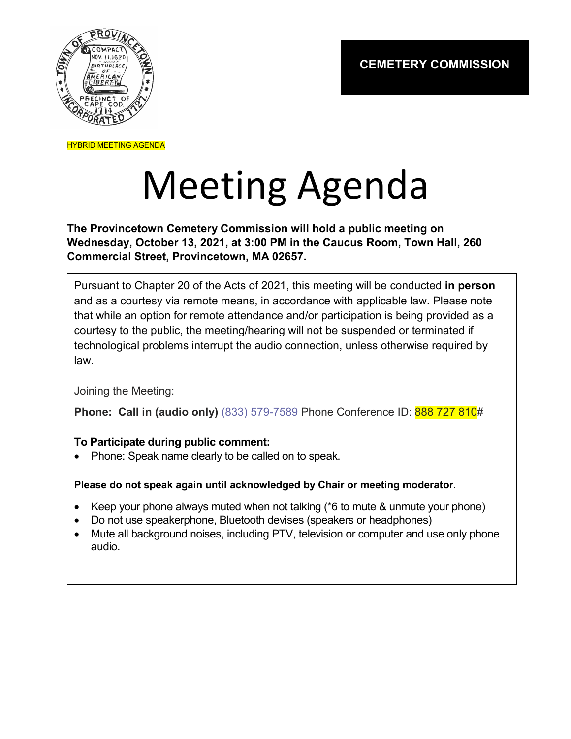

HYBRID MEETING AGENDA

## Meeting Agenda

**The Provincetown Cemetery Commission will hold a public meeting on Wednesday, October 13, 2021, at 3:00 PM in the Caucus Room, Town Hall, 260 Commercial Street, Provincetown, MA 02657.**

Pursuant to Chapter 20 of the Acts of 2021, this meeting will be conducted **in person** and as a courtesy via remote means, in accordance with applicable law. Please note that while an option for remote attendance and/or participation is being provided as a courtesy to the public, the meeting/hearing will not be suspended or terminated if technological problems interrupt the audio connection, unless otherwise required by law.

Joining the Meeting:

**Phone: Call in (audio only)** (833) 579-7589 Phone Conference ID: 888 727 810#

## **To Participate during public comment:**

• Phone: Speak name clearly to be called on to speak.

## **Please do not speak again until acknowledged by Chair or meeting moderator.**

- Keep your phone always muted when not talking (\*6 to mute & unmute your phone)
- Do not use speakerphone, Bluetooth devises (speakers or headphones)
- Mute all background noises, including PTV, television or computer and use only phone audio.